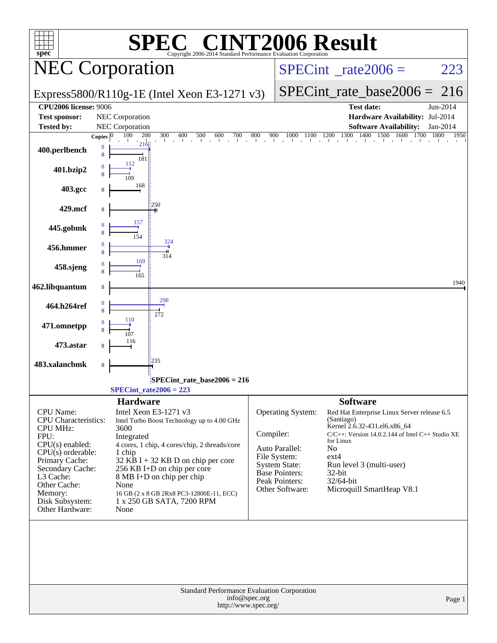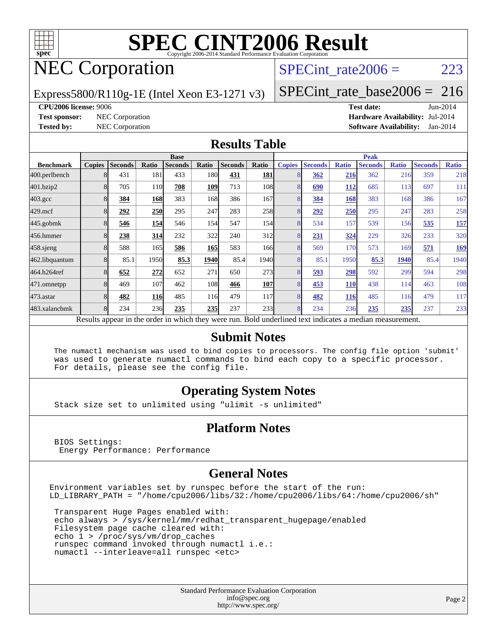

# **[SPEC CINT2006 Result](http://www.spec.org/auto/cpu2006/Docs/result-fields.html#SPECCINT2006Result)**

## NEC Corporation

### SPECint rate $2006 = 223$

Express5800/R110g-1E (Intel Xeon E3-1271 v3)

[SPECint\\_rate\\_base2006 =](http://www.spec.org/auto/cpu2006/Docs/result-fields.html#SPECintratebase2006) 216

#### **[CPU2006 license:](http://www.spec.org/auto/cpu2006/Docs/result-fields.html#CPU2006license)** 9006 **[Test date:](http://www.spec.org/auto/cpu2006/Docs/result-fields.html#Testdate)** Jun-2014

**[Test sponsor:](http://www.spec.org/auto/cpu2006/Docs/result-fields.html#Testsponsor)** NEC Corporation **[Hardware Availability:](http://www.spec.org/auto/cpu2006/Docs/result-fields.html#HardwareAvailability)** Jul-2014 **[Tested by:](http://www.spec.org/auto/cpu2006/Docs/result-fields.html#Testedby)** NEC Corporation **[Software Availability:](http://www.spec.org/auto/cpu2006/Docs/result-fields.html#SoftwareAvailability)** Jan-2014

### **[Results Table](http://www.spec.org/auto/cpu2006/Docs/result-fields.html#ResultsTable)**

|                    | <b>Base</b>    |                |            |                                                                                                          |            |                |       | <b>Peak</b>   |                |              |                |              |                |              |
|--------------------|----------------|----------------|------------|----------------------------------------------------------------------------------------------------------|------------|----------------|-------|---------------|----------------|--------------|----------------|--------------|----------------|--------------|
| <b>Benchmark</b>   | <b>Copies</b>  | <b>Seconds</b> | Ratio      | <b>Seconds</b>                                                                                           | Ratio      | <b>Seconds</b> | Ratio | <b>Copies</b> | <b>Seconds</b> | <b>Ratio</b> | <b>Seconds</b> | <b>Ratio</b> | <b>Seconds</b> | <b>Ratio</b> |
| 400.perlbench      |                | 431            | 181        | 433                                                                                                      | 180l       | 431            | 181   |               | 362            | 216          | 362            | 216          | 359            | 218          |
| 401.bzip2          |                | 705            | 110        | 708                                                                                                      | 109        | 713            | 108   |               | 690            | 112          | 685            | 113          | 697            | 111          |
| $403.\mathrm{gcc}$ |                | 384            | 168        | 383                                                                                                      | 168        | 386            | 167   |               | 384            | 168          | 383            | 168          | 386            | 167          |
| $429$ .mcf         |                | 292            | 250        | 295                                                                                                      | 247        | 283            | 258   | 8             | 292            | 250          | 295            | 247          | 283            | 258          |
| $445$ .gobmk       |                | 546            | 154        | 546                                                                                                      | 154        | 547            | 154   |               | 534            | 157          | 539            | 156          | 535            | 157          |
| 456.hmmer          |                | 238            | 314        | 232                                                                                                      | 322        | 240            | 312   | 8             | <u>231</u>     | 324          | 229            | 326          | 233            | 320          |
| $458$ .sjeng       |                | 588            | 165        | 586                                                                                                      | 165        | 583            | 166   | 8             | 569            | 170          | 573            | 169          | 571            | <u>169</u>   |
| 462.libquantum     |                | 85.1           | 1950       | 85.3                                                                                                     | 1940       | 85.4           | 1940  |               | 85.1           | 1950         | 85.3           | 1940         | 85.4           | 1940         |
| 464.h264ref        |                | 652            | 272        | 652                                                                                                      | 271        | 650            | 273   |               | 593            | 298          | 592            | 299          | 594            | 298          |
| 471.omnetpp        |                | 469            | 107        | 462                                                                                                      | 108        | 466            | 107   |               | 453            | <b>110</b>   | 438            | 114          | 463            | 108          |
| $473$ . astar      |                | 482            | <b>116</b> | 485                                                                                                      | 116        | 479            | 117   | 8             | 482            | 116          | 485            | 116          | 479            | 117          |
| 483.xalancbmk      | $\overline{8}$ | 234            | 236        | 235                                                                                                      | <b>235</b> | 237            | 233   | 8             | 234            | 236          | 235            | 235          | 237            | 233          |
|                    |                |                |            | Results appear in the order in which they were run. Bold underlined text indicates a median measurement. |            |                |       |               |                |              |                |              |                |              |

#### **[Submit Notes](http://www.spec.org/auto/cpu2006/Docs/result-fields.html#SubmitNotes)**

 The numactl mechanism was used to bind copies to processors. The config file option 'submit' was used to generate numactl commands to bind each copy to a specific processor. For details, please see the config file.

### **[Operating System Notes](http://www.spec.org/auto/cpu2006/Docs/result-fields.html#OperatingSystemNotes)**

Stack size set to unlimited using "ulimit -s unlimited"

### **[Platform Notes](http://www.spec.org/auto/cpu2006/Docs/result-fields.html#PlatformNotes)**

 BIOS Settings: Energy Performance: Performance

### **[General Notes](http://www.spec.org/auto/cpu2006/Docs/result-fields.html#GeneralNotes)**

Environment variables set by runspec before the start of the run: LD\_LIBRARY\_PATH = "/home/cpu2006/libs/32:/home/cpu2006/libs/64:/home/cpu2006/sh"

 Transparent Huge Pages enabled with: echo always > /sys/kernel/mm/redhat\_transparent\_hugepage/enabled Filesystem page cache cleared with: echo 1 > /proc/sys/vm/drop\_caches runspec command invoked through numactl i.e.: numactl --interleave=all runspec <etc>

> Standard Performance Evaluation Corporation [info@spec.org](mailto:info@spec.org) <http://www.spec.org/>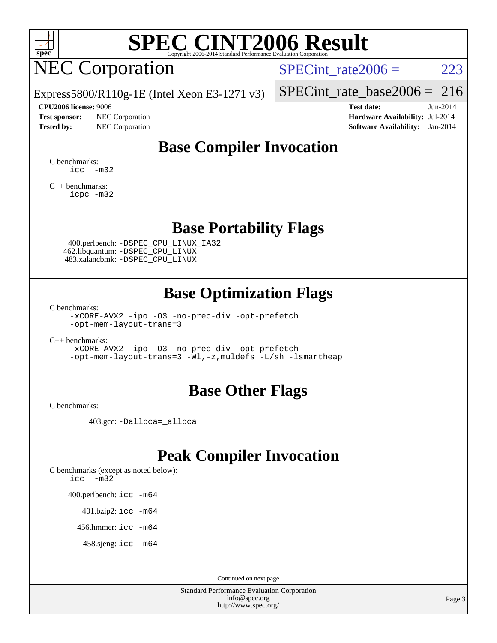

## **[SPEC CINT2006 Result](http://www.spec.org/auto/cpu2006/Docs/result-fields.html#SPECCINT2006Result)**

## NEC Corporation

SPECint rate $2006 = 223$ 

Express5800/R110g-1E (Intel Xeon E3-1271 v3)

#### **[CPU2006 license:](http://www.spec.org/auto/cpu2006/Docs/result-fields.html#CPU2006license)** 9006 **[Test date:](http://www.spec.org/auto/cpu2006/Docs/result-fields.html#Testdate)** Jun-2014

**[Test sponsor:](http://www.spec.org/auto/cpu2006/Docs/result-fields.html#Testsponsor)** NEC Corporation **[Hardware Availability:](http://www.spec.org/auto/cpu2006/Docs/result-fields.html#HardwareAvailability)** Jul-2014

[SPECint\\_rate\\_base2006 =](http://www.spec.org/auto/cpu2006/Docs/result-fields.html#SPECintratebase2006) 216

**[Tested by:](http://www.spec.org/auto/cpu2006/Docs/result-fields.html#Testedby)** NEC Corporation **[Software Availability:](http://www.spec.org/auto/cpu2006/Docs/result-fields.html#SoftwareAvailability)** Jan-2014

### **[Base Compiler Invocation](http://www.spec.org/auto/cpu2006/Docs/result-fields.html#BaseCompilerInvocation)**

[C benchmarks](http://www.spec.org/auto/cpu2006/Docs/result-fields.html#Cbenchmarks): [icc -m32](http://www.spec.org/cpu2006/results/res2014q3/cpu2006-20140805-30769.flags.html#user_CCbase_intel_icc_5ff4a39e364c98233615fdd38438c6f2)

[C++ benchmarks:](http://www.spec.org/auto/cpu2006/Docs/result-fields.html#CXXbenchmarks) [icpc -m32](http://www.spec.org/cpu2006/results/res2014q3/cpu2006-20140805-30769.flags.html#user_CXXbase_intel_icpc_4e5a5ef1a53fd332b3c49e69c3330699)

### **[Base Portability Flags](http://www.spec.org/auto/cpu2006/Docs/result-fields.html#BasePortabilityFlags)**

 400.perlbench: [-DSPEC\\_CPU\\_LINUX\\_IA32](http://www.spec.org/cpu2006/results/res2014q3/cpu2006-20140805-30769.flags.html#b400.perlbench_baseCPORTABILITY_DSPEC_CPU_LINUX_IA32) 462.libquantum: [-DSPEC\\_CPU\\_LINUX](http://www.spec.org/cpu2006/results/res2014q3/cpu2006-20140805-30769.flags.html#b462.libquantum_baseCPORTABILITY_DSPEC_CPU_LINUX) 483.xalancbmk: [-DSPEC\\_CPU\\_LINUX](http://www.spec.org/cpu2006/results/res2014q3/cpu2006-20140805-30769.flags.html#b483.xalancbmk_baseCXXPORTABILITY_DSPEC_CPU_LINUX)

### **[Base Optimization Flags](http://www.spec.org/auto/cpu2006/Docs/result-fields.html#BaseOptimizationFlags)**

[C benchmarks](http://www.spec.org/auto/cpu2006/Docs/result-fields.html#Cbenchmarks):

[-xCORE-AVX2](http://www.spec.org/cpu2006/results/res2014q3/cpu2006-20140805-30769.flags.html#user_CCbase_f-xAVX2_5f5fc0cbe2c9f62c816d3e45806c70d7) [-ipo](http://www.spec.org/cpu2006/results/res2014q3/cpu2006-20140805-30769.flags.html#user_CCbase_f-ipo) [-O3](http://www.spec.org/cpu2006/results/res2014q3/cpu2006-20140805-30769.flags.html#user_CCbase_f-O3) [-no-prec-div](http://www.spec.org/cpu2006/results/res2014q3/cpu2006-20140805-30769.flags.html#user_CCbase_f-no-prec-div) [-opt-prefetch](http://www.spec.org/cpu2006/results/res2014q3/cpu2006-20140805-30769.flags.html#user_CCbase_f-opt-prefetch) [-opt-mem-layout-trans=3](http://www.spec.org/cpu2006/results/res2014q3/cpu2006-20140805-30769.flags.html#user_CCbase_f-opt-mem-layout-trans_a7b82ad4bd7abf52556d4961a2ae94d5)

[C++ benchmarks:](http://www.spec.org/auto/cpu2006/Docs/result-fields.html#CXXbenchmarks)

[-xCORE-AVX2](http://www.spec.org/cpu2006/results/res2014q3/cpu2006-20140805-30769.flags.html#user_CXXbase_f-xAVX2_5f5fc0cbe2c9f62c816d3e45806c70d7) [-ipo](http://www.spec.org/cpu2006/results/res2014q3/cpu2006-20140805-30769.flags.html#user_CXXbase_f-ipo) [-O3](http://www.spec.org/cpu2006/results/res2014q3/cpu2006-20140805-30769.flags.html#user_CXXbase_f-O3) [-no-prec-div](http://www.spec.org/cpu2006/results/res2014q3/cpu2006-20140805-30769.flags.html#user_CXXbase_f-no-prec-div) [-opt-prefetch](http://www.spec.org/cpu2006/results/res2014q3/cpu2006-20140805-30769.flags.html#user_CXXbase_f-opt-prefetch) [-opt-mem-layout-trans=3](http://www.spec.org/cpu2006/results/res2014q3/cpu2006-20140805-30769.flags.html#user_CXXbase_f-opt-mem-layout-trans_a7b82ad4bd7abf52556d4961a2ae94d5) [-Wl,-z,muldefs](http://www.spec.org/cpu2006/results/res2014q3/cpu2006-20140805-30769.flags.html#user_CXXbase_link_force_multiple1_74079c344b956b9658436fd1b6dd3a8a) [-L/sh -lsmartheap](http://www.spec.org/cpu2006/results/res2014q3/cpu2006-20140805-30769.flags.html#user_CXXbase_SmartHeap_32f6c82aa1ed9c52345d30cf6e4a0499)

### **[Base Other Flags](http://www.spec.org/auto/cpu2006/Docs/result-fields.html#BaseOtherFlags)**

[C benchmarks](http://www.spec.org/auto/cpu2006/Docs/result-fields.html#Cbenchmarks):

403.gcc: [-Dalloca=\\_alloca](http://www.spec.org/cpu2006/results/res2014q3/cpu2006-20140805-30769.flags.html#b403.gcc_baseEXTRA_CFLAGS_Dalloca_be3056838c12de2578596ca5467af7f3)

### **[Peak Compiler Invocation](http://www.spec.org/auto/cpu2006/Docs/result-fields.html#PeakCompilerInvocation)**

[C benchmarks \(except as noted below\)](http://www.spec.org/auto/cpu2006/Docs/result-fields.html#Cbenchmarksexceptasnotedbelow): [icc -m32](http://www.spec.org/cpu2006/results/res2014q3/cpu2006-20140805-30769.flags.html#user_CCpeak_intel_icc_5ff4a39e364c98233615fdd38438c6f2)

400.perlbench: [icc -m64](http://www.spec.org/cpu2006/results/res2014q3/cpu2006-20140805-30769.flags.html#user_peakCCLD400_perlbench_intel_icc_64bit_bda6cc9af1fdbb0edc3795bac97ada53)

401.bzip2: [icc -m64](http://www.spec.org/cpu2006/results/res2014q3/cpu2006-20140805-30769.flags.html#user_peakCCLD401_bzip2_intel_icc_64bit_bda6cc9af1fdbb0edc3795bac97ada53)

456.hmmer: [icc -m64](http://www.spec.org/cpu2006/results/res2014q3/cpu2006-20140805-30769.flags.html#user_peakCCLD456_hmmer_intel_icc_64bit_bda6cc9af1fdbb0edc3795bac97ada53)

458.sjeng: [icc -m64](http://www.spec.org/cpu2006/results/res2014q3/cpu2006-20140805-30769.flags.html#user_peakCCLD458_sjeng_intel_icc_64bit_bda6cc9af1fdbb0edc3795bac97ada53)

Continued on next page

Standard Performance Evaluation Corporation [info@spec.org](mailto:info@spec.org) <http://www.spec.org/>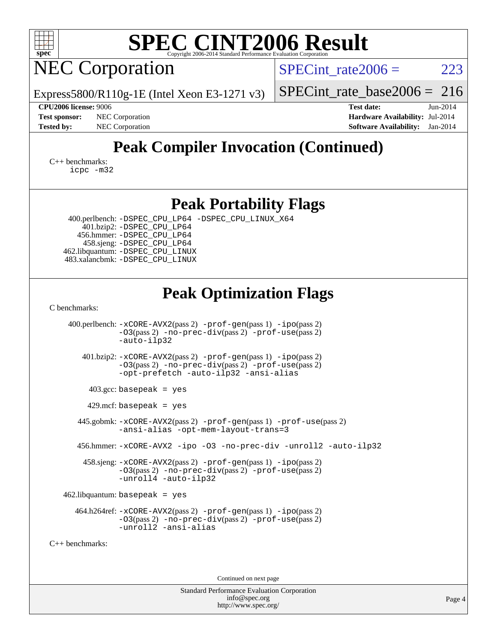